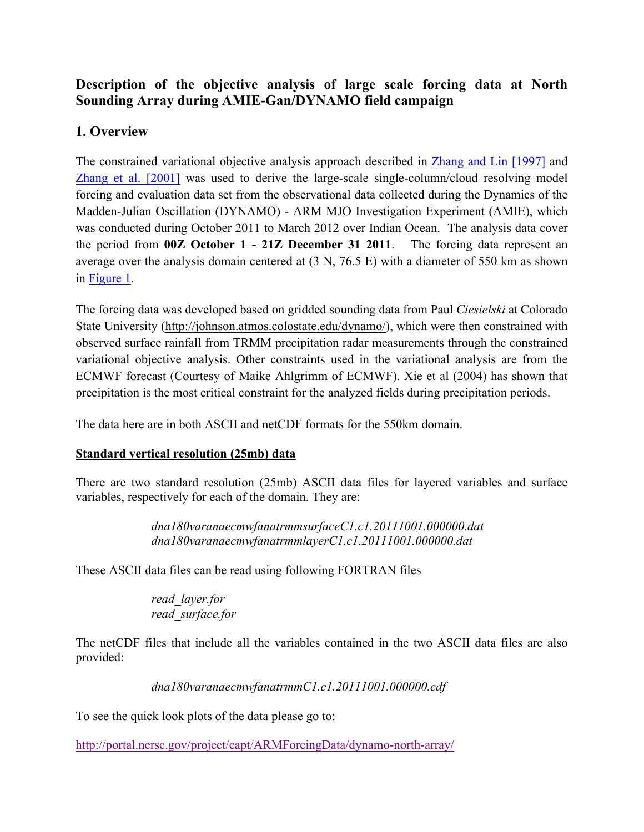## **Description of the objective analysis of large scale forcing data at North Sounding Array during AMIE-Gan/DYNAMO field campaign**

# **1. Overview**

The constrained variational objective analysis approach described in Zhang and Lin [1997] and Zhang et al. [2001] was used to derive the large-scale single-column/cloud resolving model forcing and evaluation data set from the observational data collected during the Dynamics of the Madden-Julian Oscillation (DYNAMO) - ARM MJO Investigation Experiment (AMIE), which was conducted during October 2011 to March 2012 over Indian Ocean. The analysis data cover the period from **00Z October 1 - 21Z December 31 2011**. The forcing data represent an average over the analysis domain centered at (3 N, 76.5 E) with a diameter of 550 km as shown in Figure 1.

The forcing data was developed based on gridded sounding data from Paul *Ciesielski* at Colorado State University (http://johnson.atmos.colostate.edu/dynamo/), which were then constrained with observed surface rainfall from TRMM precipitation radar measurements through the constrained variational objective analysis. Other constraints used in the variational analysis are from the ECMWF forecast (Courtesy of Maike Ahlgrimm of ECMWF). Xie et al (2004) has shown that precipitation is the most critical constraint for the analyzed fields during precipitation periods.

The data here are in both ASCII and netCDF formats for the 550km domain.

### **Standard vertical resolution (25mb) data**

There are two standard resolution (25mb) ASCII data files for layered variables and surface variables, respectively for each of the domain. They are:

> *dna180varanaecmwfanatrmmsurfaceC1.c1.20111001.000000.dat dna180varanaecmwfanatrmmlayerC1.c1.20111001.000000.dat*

These ASCII data files can be read using following FORTRAN files

*read\_layer.for read\_surface.for*

The netCDF files that include all the variables contained in the two ASCII data files are also provided:

*dna180varanaecmwfanatrmmC1.c1.20111001.000000.cdf*

To see the quick look plots of the data please go to:

http://portal.nersc.gov/project/capt/ARMForcingData/dynamo-north-array/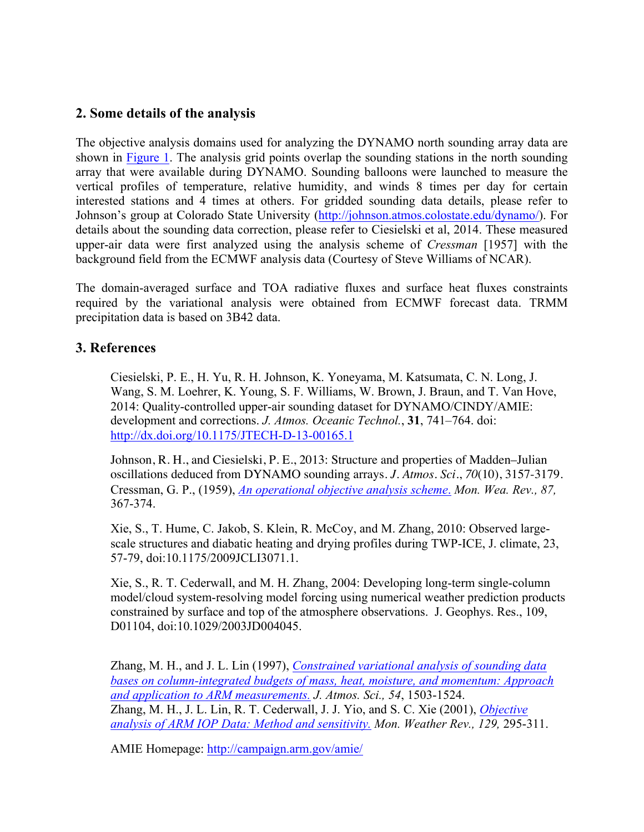#### **2. Some details of the analysis**

The objective analysis domains used for analyzing the DYNAMO north sounding array data are shown in Figure 1. The analysis grid points overlap the sounding stations in the north sounding array that were available during DYNAMO. Sounding balloons were launched to measure the vertical profiles of temperature, relative humidity, and winds 8 times per day for certain interested stations and 4 times at others. For gridded sounding data details, please refer to Johnson's group at Colorado State University (http://johnson.atmos.colostate.edu/dynamo/). For details about the sounding data correction, please refer to Ciesielski et al, 2014. These measured upper-air data were first analyzed using the analysis scheme of *Cressman* [1957] with the background field from the ECMWF analysis data (Courtesy of Steve Williams of NCAR).

The domain-averaged surface and TOA radiative fluxes and surface heat fluxes constraints required by the variational analysis were obtained from ECMWF forecast data. TRMM precipitation data is based on 3B42 data.

#### **3. References**

Ciesielski, P. E., H. Yu, R. H. Johnson, K. Yoneyama, M. Katsumata, C. N. Long, J. Wang, S. M. Loehrer, K. Young, S. F. Williams, W. Brown, J. Braun, and T. Van Hove, 2014: Quality-controlled upper-air sounding dataset for DYNAMO/CINDY/AMIE: development and corrections. *J. Atmos. Oceanic Technol.*, **31**, 741–764. doi: http://dx.doi.org/10.1175/JTECH-D-13-00165.1

Johnson, R. H., and Ciesielski, P. E., 2013: Structure and properties of Madden–Julian oscillations deduced from DYNAMO sounding arrays. *J. Atmos. Sci.*, *70*(10), 3157-3179. Cressman, G. P., (1959), *An operational objective analysis scheme*. *Mon. Wea. Rev., 87,*  367-374.

Xie, S., T. Hume, C. Jakob, S. Klein, R. McCoy, and M. Zhang, 2010: Observed largescale structures and diabatic heating and drying profiles during TWP-ICE, J. climate, 23, 57-79, doi:10.1175/2009JCLI3071.1.

Xie, S., R. T. Cederwall, and M. H. Zhang, 2004: Developing long-term single-column model/cloud system-resolving model forcing using numerical weather prediction products constrained by surface and top of the atmosphere observations. J. Geophys. Res., 109, D01104, doi:10.1029/2003JD004045.

Zhang, M. H., and J. L. Lin (1997), *Constrained variational analysis of sounding data bases on column-integrated budgets of mass, heat, moisture, and momentum: Approach and application to ARM measurements. J. Atmos. Sci., 54*, 1503-1524. Zhang, M. H., J. L. Lin, R. T. Cederwall, J. J. Yio, and S. C. Xie (2001), *Objective analysis of ARM IOP Data: Method and sensitivity. Mon. Weather Rev., 129,* 295-311.

AMIE Homepage: http://campaign.arm.gov/amie/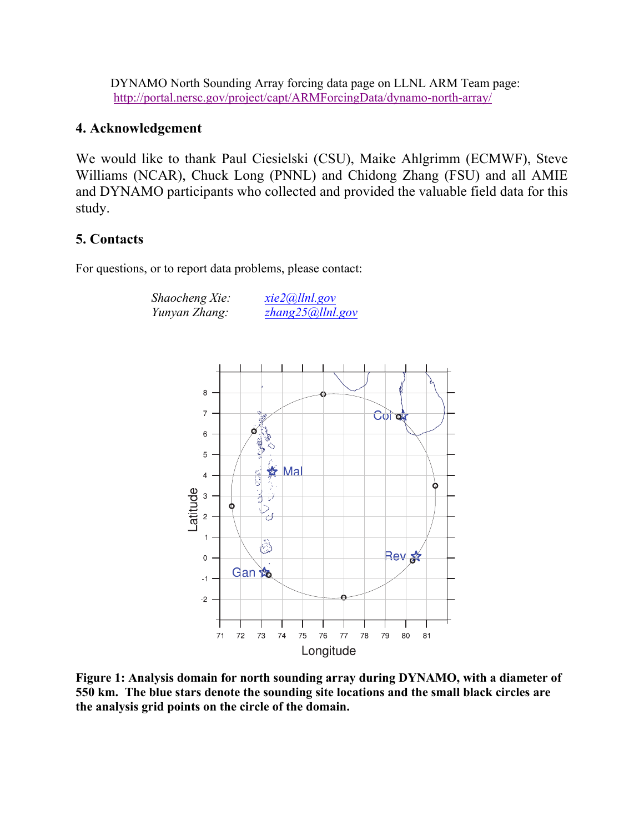DYNAMO North Sounding Array forcing data page on LLNL ARM Team page: http://portal.nersc.gov/project/capt/ARMForcingData/dynamo-north-array/

#### **4. Acknowledgement**

We would like to thank Paul Ciesielski (CSU), Maike Ahlgrimm (ECMWF), Steve Williams (NCAR), Chuck Long (PNNL) and Chidong Zhang (FSU) and all AMIE and DYNAMO participants who collected and provided the valuable field data for this study.

### **5. Contacts**

For questions, or to report data problems, please contact:



**Figure 1: Analysis domain for north sounding array during DYNAMO, with a diameter of 550 km. The blue stars denote the sounding site locations and the small black circles are the analysis grid points on the circle of the domain.**